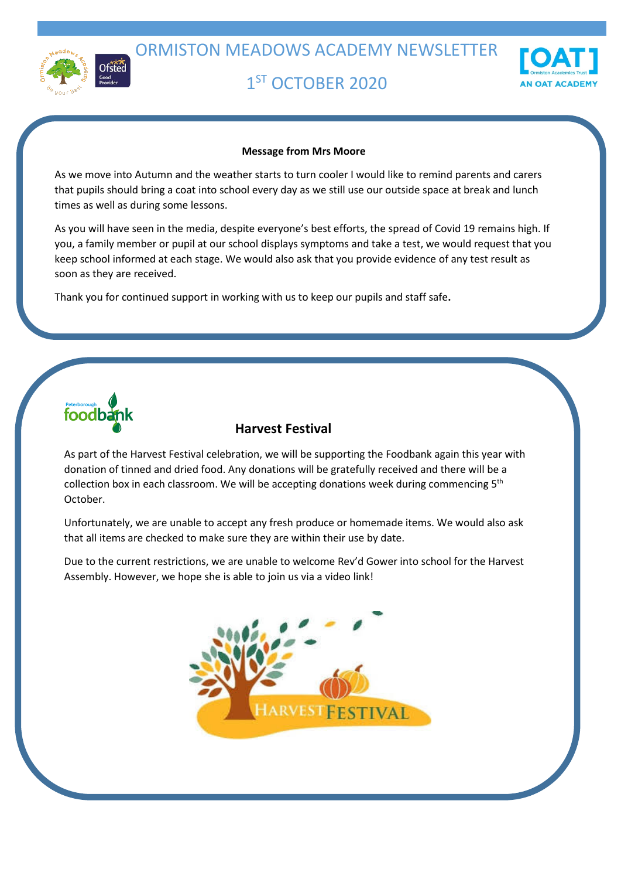

# 1<sup>ST</sup> OCTOBER 2020



# **Message from Mrs Moore**

As we move into Autumn and the weather starts to turn cooler I would like to remind parents and carers that pupils should bring a coat into school every day as we still use our outside space at break and lunch times as well as during some lessons.

As you will have seen in the media, despite everyone's best efforts, the spread of Covid 19 remains high. If you, a family member or pupil at our school displays symptoms and take a test, we would request that you keep school informed at each stage. We would also ask that you provide evidence of any test result as soon as they are received.

Thank you for continued support in working with us to keep our pupils and staff safe**.** 



# **Harvest Festival**

As part of the Harvest Festival celebration, we will be supporting the Foodbank again this year with donation of tinned and dried food. Any donations will be gratefully received and there will be a collection box in each classroom. We will be accepting donations week during commencing 5<sup>th</sup> October.

Unfortunately, we are unable to accept any fresh produce or homemade items. We would also ask that all items are checked to make sure they are within their use by date.

Due to the current restrictions, we are unable to welcome Rev'd Gower into school for the Harvest Assembly. However, we hope she is able to join us via a video link!